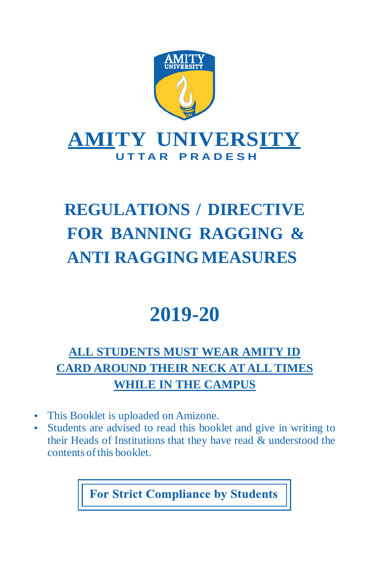

# **REGULATIONS / DIRECTIVE FOR BANNING RAGGING & ANTI RAGGINGMEASURES**

# **2019-20**

# **ALL STUDENTS MUST WEAR AMITY ID CARD AROUND THEIR NECK AT ALL TIMES WHILE IN THE CAMPUS**

- This Booklet is uploaded on Amizone.
- Students are advised to read this booklet and give in writing to their Heads of Institutions that they have read & understood the contents ofthis booklet.

**For Strict Compliance by Students**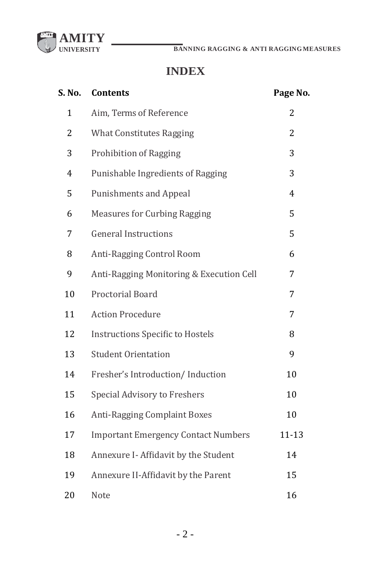

# **INDEX**

| S. No.       | <b>Contents</b>                            | Page No.  |
|--------------|--------------------------------------------|-----------|
| $\mathbf{1}$ | Aim, Terms of Reference                    | 2         |
| 2            | <b>What Constitutes Ragging</b>            | 2         |
| 3            | <b>Prohibition of Ragging</b>              | 3         |
| 4            | Punishable Ingredients of Ragging          | 3         |
| 5            | <b>Punishments and Appeal</b>              | 4         |
| 6            | <b>Measures for Curbing Ragging</b>        | 5         |
| 7            | <b>General Instructions</b>                | 5         |
| 8            | Anti-Ragging Control Room                  | 6         |
| 9            | Anti-Ragging Monitoring & Execution Cell   | 7         |
| 10           | Proctorial Board                           | 7         |
| 11           | <b>Action Procedure</b>                    | 7         |
| 12           | <b>Instructions Specific to Hostels</b>    | 8         |
| 13           | <b>Student Orientation</b>                 | 9         |
| 14           | Fresher's Introduction/ Induction          | 10        |
| 15           | Special Advisory to Freshers               | 10        |
| 16           | <b>Anti-Ragging Complaint Boxes</b>        | 10        |
| 17           | <b>Important Emergency Contact Numbers</b> | $11 - 13$ |
| 18           | Annexure I- Affidavit by the Student       | 14        |
| 19           | Annexure II-Affidavit by the Parent        | 15        |
| 20           | Note                                       | 16        |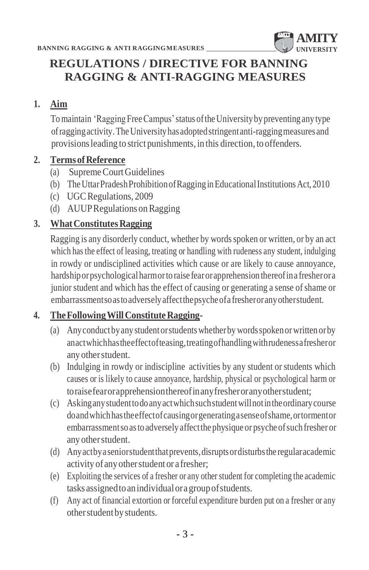

# **REGULATIONS / DIRECTIVE FOR BANNING RAGGING & ANTI-RAGGING MEASURES**

#### **1. Aim**

Tomaintain 'RaggingFreeCampus'status oftheUniversityby preventing any type ofraggingactivity.TheUniversityhasadoptedstringentanti-raggingmeasures and provisionsleading to strict punishments, in this direction, to offenders.

#### **2. TermsofReference**

- (a) SupremeCourtGuidelines
- (b) TheUttarPradeshProhibitionofRagging inEducationalInstitutionsAct,2010
- (c) UGCRegulations, 2009
- (d) AUUPRegulations onRagging

### **3. WhatConstitutesRagging**

Ragging is any disorderly conduct, whether by words spoken or written, or by an act which has the effect of leasing, treating or handling with rudeness any student, indulging in rowdy or undisciplined activities which cause or are likely to cause annoyance, hardshiporpsychologicalharmorto raise fearorapprehension thereofina fresherora junior student and which has the effect of causing or generating a sense of shame or embarrassmentsoastoadverselyaffectthepsycheofa fresheroranyotherstudent.

#### **4. TheFollowingWillConstituteRagging-**

- (a) Anyconductbyany studentorstudentswhetherby wordsspokenorwritten orby anactwhichhastheeffectofteasing,treatingofhandlingwithrudenessafresheror any otherstudent.
- (b) Indulging in rowdy or indiscipline activities by any student or students which causes or is likely to cause annoyance, hardship, physical or psychological harm or toraisefearorapprehensionthereofinanyfresheroranyotherstudent;
- (c) Askinganystudenttodoanyactwhichsuchstudentwillnotintheordinarycourse doandwhichhastheeffectofcausingorgeneratingasenseofshame,ortormentor embarrassmentso as to adversely affect the physique or psyche of such fresher or any otherstudent.
- (d) Anyactbyaseniorstudentthatprevents,disruptsordisturbsthe regularacademic activity of any other student or a fresher;
- (e) Exploiting the services of a fresher or any other student for completing the academic tasks assignedtoanindividualoragroupofstudents.
- (f) Any act of financial extortion or forceful expenditure burden put on a fresher or any other student by students.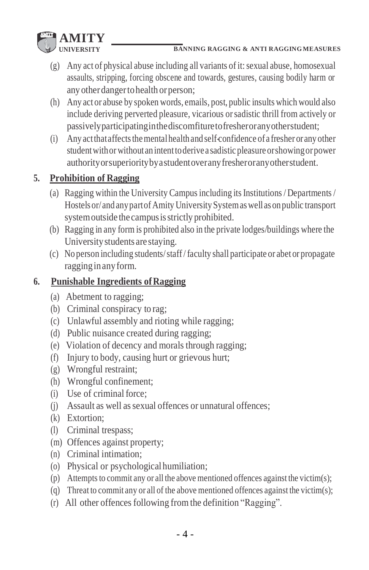

- (g) Any act of physical abuse including all variants of it: sexual abuse, homosexual assaults, stripping, forcing obscene and towards, gestures, causing bodily harm or any otherdangertohealth orperson;
- (h) Any act or abuse by spoken words, emails, post, public insults which would also include deriving perverted pleasure, vicarious orsadistic thrill from actively or passivelyparticipatinginthediscomfituretofresheroranyotherstudent;
- (i) Any act that affects the mental health and self-confidence of a fresher or any other student with or without an intent to derive a sadistic pleasure or showing or power authorityorsuperioritybyastudentoveranyfresheroranyotherstudent.

# **5. Prohibition of Ragging**

- (a) Ragging within the University Campus including its Institutions / Departments / Hostels or/ and any part of Amity University System as well as on public transport systemoutside the campusisstrictly prohibited.
- (b) Ragging in any form is prohibited also in the private lodges/buildings where the University students are staying.
- (c) No person including students/staff/faculty shall participate or abet or propagate ragging in any form.

# **6. Punishable Ingredients ofRagging**

- (a) Abetment to ragging;
- (b) Criminal conspiracy to rag;
- (c) Unlawful assembly and rioting while ragging;
- (d) Public nuisance created during ragging;
- (e) Violation of decency and morals through ragging;
- (f) Injury to body, causing hurt or grievous hurt;
- (g) Wrongful restraint;
- (h) Wrongful confinement;
- (i) Use of criminal force;
- (j) Assault as well as sexual offences or unnatural offences;
- (k) Extortion;
- (l) Criminal trespass;
- (m) Offences against property;
- (n) Criminal intimation;
- (o) Physical or psychological humiliation;
- (p) Attempts to commit any or all the above mentioned offences against the victim(s);
- (q) Threat to commit any or all of the above mentioned offences against the victim(s);
- (r) All other offences following fromthe definition "Ragging".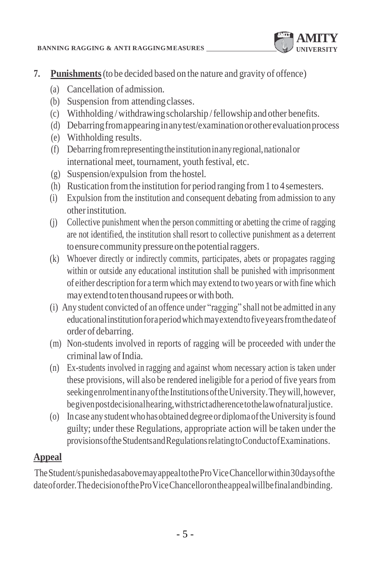#### **BANNING RAGGING & ANTI RAGGINGMEASURES**



- **7. Punishments**(to be decided based on the nature and gravity of offence)
	- (a) Cancellation of admission.
	- (b) Suspension from attending classes.
	- (c) Withholding /withdrawingscholarship /fellowship and other benefits.
	- (d) Debarringfromappearinginanytest/examinationorotherevaluationprocess
	- (e) Withholding results.
	- (f) Debarringfromrepresentingtheinstitutioninanyregional,nationalor international meet, tournament, youth festival, etc.
	- (g) Suspension/expulsion from the hostel.
	- (h) Rustication fromthe institution for period ranging from1 to 4semesters.
	- (i) Expulsion from the institution and consequent debating from admission to any otherinstitution.
	- (j) Collective punishment when the person committing or abetting the crime of ragging are not identified, the institution shall resort to collective punishment as a deterrent to ensure community pressure on the potential raggers.
	- (k) Whoever directly or indirectly commits, participates, abets or propagates ragging within or outside any educational institution shall be punished with imprisonment of either description for a term which may extend to two years orwith fine which may extend to ten thousand rupees or with both.
	- (i) Any student convicted of an offence under "ragging" shall not be admitted in any educationalinstitutionforaperiodwhichmayextendtofiveyearsfromthedateof order of debarring.
	- (m) Non-students involved in reports of ragging will be proceeded with under the criminal lawofIndia.
	- (n) Ex-students involved in ragging and against whom necessary action is taken under these provisions, will also be rendered ineligible for a period of five years from seekingenrolmentinany of the Institutions of the University. They will, however, begivenpostdecisionalhearing,withstrictadherencetothelawofnaturaljustice.
	- (o) In case any studentwho hasobtained degreeordiplomaoftheUniversity isfound guilty; under these Regulations, appropriate action will be taken under the provisionsoftheStudentsandRegulationsrelatingtoConductofExaminations.

# **Appeal**

TheStudent/spunishedasabovemayappealtotheProViceChancellorwithin30daysofthe dateoforder.ThedecisionoftheProViceChancellorontheappealwillbefinalandbinding.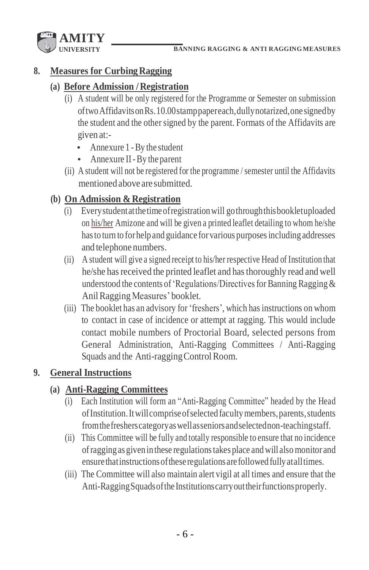

#### **8. Measures for CurbingRagging**

#### **(a) Before Admission /Registration**

- (i) A student will be only registered for the Programme or Semester on submission oftwoAffidavitsonRs.10.00stamppapereach,dullynotarized,onesignedby the student and the other signed by the parent. Formats of the Affidavits are given at:-
	- Annexure 1 -By the student
	- Annexure II-By the parent
- (ii) A student will not be registered for the programme / semester until the Affidavits mentionedabove are submitted.

### **(b) On Admission & Registration**

- (i) Everystudentatthetimeofregistrationwill gothroughthisbookletuploaded on his/her Amizone and will be given a printed leaflet detailing to whom he/she has to turn to for help and guidance for various purposes including addresses and telephone numbers.
- (ii) A student will give a signed receipt to his/her respective Head of Institution that he/she has received the printed leaflet and has thoroughly read and well understood the contents of 'Regulations/Directives for Banning Ragging  $\&$ AnilRaggingMeasures' booklet.
- (iii) The booklet has an advisory for 'freshers', which has instructions on whom to contact in case of incidence or attempt at ragging. This would include contact mobile numbers of Proctorial Board, selected persons from General Administration, Anti-Ragging Committees / Anti-Ragging Squads and the Anti-ragging Control Room.

#### **9. General Instructions**

#### **(a) Anti-Ragging Committees**

- (i) Each Institution will form an "Anti-Ragging Committee" headed by the Head ofInstitution.Itwillcompriseofselected facultymembers,parents,students fromthefresherscategoryaswellasseniorsandselectednon-teachingstaff.
- (ii) This Committee will be fully and totally responsible to ensure that no incidence ofragging as given in these regulationstakes place and will alsomonitor and ensure that instructions of these regulations are followed fully at all times.
- (iii) The Committee will also maintain alert vigil at all times and ensure that the Anti-Ragging Squads of the Institutions carry out their functions properly.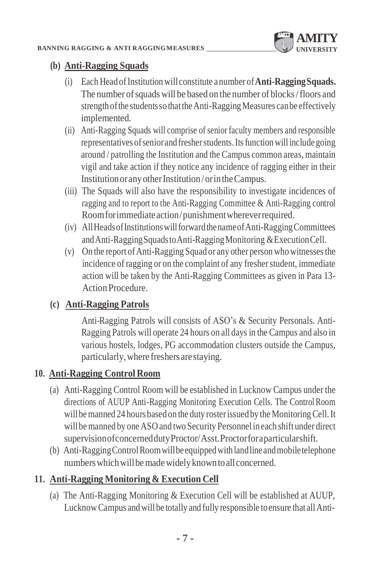

## **(b) Anti-Ragging Squads**

- (i) Each Head ofInstitution will constitute a number of**Anti-RaggingSquads.**  The number of squads will be based on the number of blocks/floors and strength of the students so that the Anti-Ragging Measures can be effectively implemented.
- (ii) Anti-Ragging Squads will comprise of senior faculty members and responsible representatives ofseniorand fresherstudents.Itsfunction will include going around / patrolling the Institution and the Campus common areas, maintain vigil and take action if they notice any incidence of ragging either in their Institution or any other Institution/or in the Campus.
- (iii) The Squads will also have the responsibility to investigate incidences of ragging and to report to the Anti-Ragging Committee & Anti-Ragging control Roomforimmediateaction/punishmentwhereverrequired.
- (iv) AllHeadsofInstitutionswillforwardthenameofAnti-RaggingCommittees andAnti-RaggingSquadstoAnti-RaggingMonitoring &ExecutionCell.
- (v) On the report of Anti-Ragging Squad or any other person who witnesses the incidence of ragging or on the complaint of any fresher student, immediate action will be taken by the Anti-Ragging Committees as given in Para 13- Action Procedure.

# **(c) Anti-Ragging Patrols**

Anti-Ragging Patrols will consists of ASO's & Security Personals. Anti-Ragging Patrols will operate 24 hours on all days in the Campus and also in various hostels, lodges, PG accommodation clusters outside the Campus, particularly,where freshers arestaying.

# **10. Anti-Ragging Control Room**

- (a) Anti-Ragging Control Room will be established in Lucknow Campus under the directions of AUUP Anti-Ragging Monitoring Execution Cells. The ControlRoom will be manned 24 hours based on the duty roster issued by the Monitoring Cell. It will be manned by one ASO and two Security Personnel in each shift under direct supervisionofconcerneddutyProctor/Asst.Proctorforaparticularshift.
- (b) Anti-RaggingControlRoomwillbeequippedwith landlineandmobiletelephone numbers which will be made widely known to all concerned.

# **11. Anti-Ragging Monitoring & Execution Cell**

(a) The Anti-Ragging Monitoring & Execution Cell will be established at AUUP, LucknowCampus and will be totally and fully responsible to ensure that allAnti-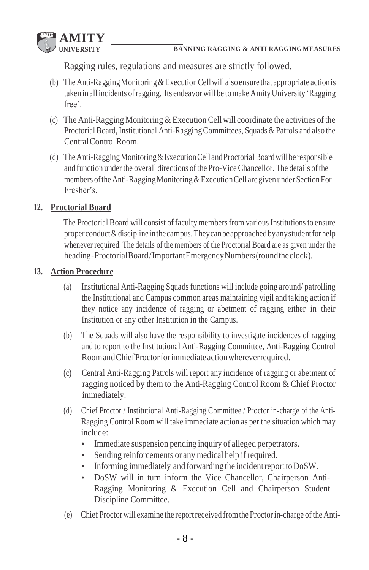

Ragging rules, regulations and measures are strictly followed.

- (b) The Anti-RaggingMonitoring&ExecutionCellwill alsoensure that appropriate actionis taken in all incidents ofragging. Its endeavor will be tomake AmityUniversity 'Ragging free'.
- (c) The Anti-Ragging Monitoring & Execution Cell will coordinate the activities ofthe Proctorial Board, Institutional Anti-Ragging Committees, Squads & Patrols and also the CentralControlRoom.
- (d) The Anti-Ragging Monitoring & Execution Cell and Proctorial Board will be responsible and function under the overall directions of the Pro-Vice Chancellor. The details of the members of the Anti-Ragging Monitoring & Execution Cell are given under Section For Fresher's.

#### **12. Proctorial Board**

The Proctorial Board will consist of faculty members from various Institutions to ensure properconduct&discipline inthecampus.Theycanbeapproachedbyanystudentfor help whenever required. The details of the members of the Proctorial Board are as given under the heading-ProctorialBoard/ImportantEmergencyNumbers(roundtheclock).

#### **13. Action Procedure**

- (a) Institutional Anti-Ragging Squads functions will include going around/ patrolling the Institutional and Campus common areas maintaining vigil and taking action if they notice any incidence of ragging or abetment of ragging either in their Institution or any other Institution in the Campus.
- (b) The Squads will also have the responsibility to investigate incidences of ragging and to report to the Institutional Anti-Ragging Committee, Anti-Ragging Control RoomandChiefProctorforimmediateactionwhereverrequired.
- (c) Central Anti-Ragging Patrols will report any incidence of ragging or abetment of ragging noticed by them to the Anti-Ragging Control Room & Chief Proctor immediately.
- (d) Chief Proctor / Institutional Anti-Ragging Committee / Proctor in-charge of the Anti-Ragging Control Room will take immediate action as per the situation which may include:
	- Immediate suspension pending inquiry of alleged perpetrators.
	- Sending reinforcements or any medical help if required.
	- Informing immediately and forwarding the incidentreport to DoSW.
	- DoSW will in turn inform the Vice Chancellor, Chairperson Anti-Ragging Monitoring & Execution Cell and Chairperson Student Discipline Committee.
- (e) Chief Proctor will examine the reportreceived fromthe Proctorin-charge ofthe Anti-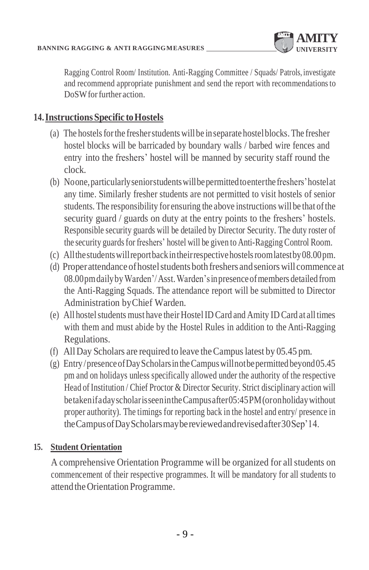

Ragging Control Room/ Institution. Anti-Ragging Committee / Squads/ Patrols, investigate and recommend appropriate punishment and send the report with recommendationsto DoSW for further action.

## **14.InstructionsSpecific toHostels**

- (a) The hostels for the fresher students will be in separate hostel blocks. The fresher hostel blocks will be barricaded by boundary walls / barbed wire fences and entry into the freshers' hostel will be manned by security staff round the clock.
- (b) Noone,particularlyseniorstudentswillbepermittedtoenterthefreshers'hostelat any time. Similarly fresher students are not permitted to visit hostels of senior students. The responsibility for ensuring the above instructions will be that of the security guard / guards on duty at the entry points to the freshers' hostels. Responsible security guards will be detailed by Director Security. The duty roster of the security guardsfor freshers' hostel will be given to Anti-Ragging Control Room.
- (c) Allthestudentswillreportbackintheirrespectivehostelsroomlatestby08.00pm.
- (d) Properattendance ofhostelstudents both freshers andseniors will commence at 08.00pmdailybyWarden'/Asst.Warden'sinpresenceofmembers detailed from the Anti-Ragging Squads. The attendance report will be submitted to Director Administration byChief Warden.
- (e) All hostel students must have their Hostel ID Card and Amity ID Card at all times with them and must abide by the Hostel Rules in addition to the Anti-Ragging Regulations.
- (f) AllDay Scholars are required to leave theCampuslatest by 05.45 pm.
- (g) Entry/presence of Day Scholars in the Campus will not be permitted beyond  $05.45$ pm and on holidays unless specifically allowed under the authority of the respective Head of Institution / Chief Proctor & Director Security. Strict disciplinary action will betakenifadayscholarisseenintheCampusafter05:45PM(oronholidaywithout proper authority). The timings for reporting back in the hostel and entry/ presence in theCampusofDayScholarsmaybereviewedandrevisedafter30Sep'14.

#### **15. Student Orientation**

A comprehensive Orientation Programme will be organized for allstudents on commencement of their respective programmes. It will be mandatory for all students to attendtheOrientation Programme.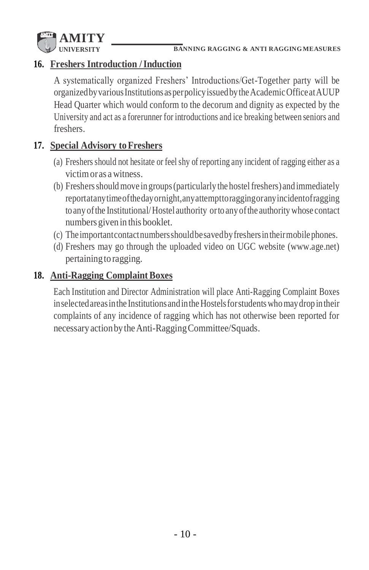

# **16. Freshers Introduction /Induction**

A systematically organized Freshers' Introductions/Get-Together party will be organizedbyvariousInstitutions asperpolicyissuedbytheAcademicOfficeatAUUP Head Quarter which would conform to the decorum and dignity as expected by the University and act as a forerunner for introductions and ice breaking between seniors and freshers.

#### **17. Special Advisory to Freshers**

- (a) Freshers should not hesitate or feel shy of reporting any incident of ragging either as a victimoras awitness.
- (b) Freshers should move in groups (particularly the hostel freshers) and immediately reportatanytimeofthedayornight,anyattempttoraggingoranyincidentofragging to any ofthe Institutional/Hostel authority orto any ofthe authority whose contact numbers given in this booklet.
- (c) Theimportantcontactnumbersshouldbesavedbyfreshersin theirmobilephones.
- (d) Freshers may go through the uploaded video on UGC website (www.age.net) pertainingto ragging.

#### 18. **Anti-Ragging Complaint Boxes**

Each Institution and Director Administration will place Anti-Ragging Complaint Boxes in selected areas in the Institutions and in the Hostels for students who may drop in their complaints of any incidence of ragging which has not otherwise been reported for necessaryactionbytheAnti-RaggingCommittee/Squads.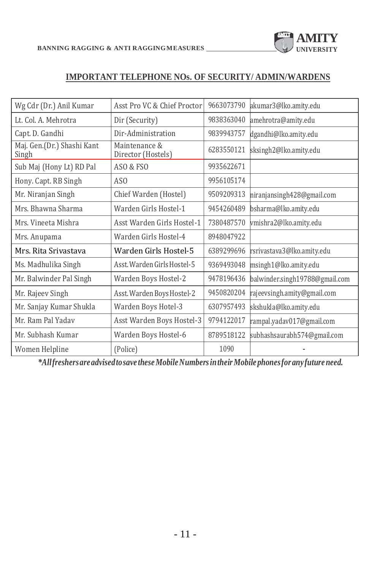

#### **IMPORTANT TELEPHONE NOs. OF SECURITY/ ADMIN/WARDENS**

| Wg Cdr (Dr.) Anil Kumar             | Asst Pro VC & Chief Proctor         | 9663073790 | akumar3@lko.amity.edu          |
|-------------------------------------|-------------------------------------|------------|--------------------------------|
| Lt. Col. A. Mehrotra                | Dir (Security)                      | 9838363040 | amehrotra@amity.edu            |
| Capt. D. Gandhi                     | Dir-Administration                  | 9839943757 | dgandhi@lko.amity.edu          |
| Maj. Gen.(Dr.) Shashi Kant<br>Singh | Maintenance &<br>Director (Hostels) | 6283550121 | sksingh2@lko.amity.edu         |
| Sub Maj (Hony Lt) RD Pal            | ASO & FSO                           | 9935622671 |                                |
| Hony. Capt. RB Singh                | AS <sub>0</sub>                     | 9956105174 |                                |
| Mr. Niranjan Singh                  | Chief Warden (Hostel)               | 9509209313 | niranjansingh428@gmail.com     |
| Mrs. Bhawna Sharma                  | Warden Girls Hostel-1               | 9454260489 | bsharma@lko.amity.edu          |
| Mrs. Vineeta Mishra                 | Asst Warden Girls Hostel-1          | 7380487570 | vmishra2@lko.amity.edu         |
| Mrs. Anupama                        | Warden Girls Hostel-4               | 8948047922 |                                |
| Mrs. Rita Srivastava                | Warden Girls Hostel-5               | 6389299696 | rsrivastava3@lko.amity.edu     |
| Ms. Madhulika Singh                 | Asst. Warden Girls Hostel-5         | 9369493048 | msingh1@lko.amity.edu          |
| Mr. Balwinder Pal Singh             | Warden Boys Hostel-2                | 9478196436 | balwinder.singh19788@gmail.com |
| Mr. Rajeev Singh                    | Asst. Warden Boys Hostel-2          | 9450820204 | rajeevsingh.amity@gmail.com    |
| Mr. Sanjay Kumar Shukla             | Warden Boys Hotel-3                 | 6307957493 | skshukla@lko.amity.edu         |
| Mr. Ram Pal Yadav                   | Asst Warden Boys Hostel-3           | 9794122017 | rampal.yadav017@gmail.com      |
| Mr. Subhash Kumar                   | Warden Boys Hostel-6                | 8789518122 | subhashsaurabh574@gmail.com    |
| Women Helpline                      | (Police)                            | 1090       |                                |

*\*Allfreshersareadvisedtosave theseMobileNumbersintheirMobile phonesfor anyfuture need.*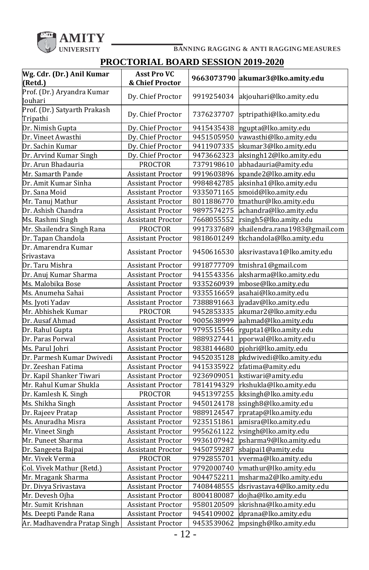

## **PROCTORIAL BOARD SESSION 2019-2020**

| Wg. Cdr. (Dr.) Anil Kumar<br>(Retd.)     | <b>Asst Pro VC</b><br>& Chief Proctor |            | 9663073790 akumar3@lko.amity.edu |
|------------------------------------------|---------------------------------------|------------|----------------------------------|
| Prof. (Dr.) Aryandra Kumar<br>Jouhari    | Dy. Chief Proctor                     | 9919254034 | akjouhari@lko.amity.edu          |
| Prof. (Dr.) Satyarth Prakash<br>Tripathi | Dy. Chief Proctor                     | 7376237707 | sptripathi@lko.amity.edu         |
| Dr. Nimish Gupta                         | Dy. Chief Proctor                     | 9415435438 | ngupta@lko.amity.edu             |
| Dr. Vineet Awasthi                       | Dy. Chief Proctor                     | 9451505950 | vawasthi@lko.amity.edu           |
| Dr. Sachin Kumar                         | Dy. Chief Proctor                     | 9411907335 | skumar3@lko.amity.edu            |
| Dr. Arvind Kumar Singh                   | Dy. Chief Proctor                     | 9473662323 | aksingh12@lko.amity.edu          |
| Dr. Arun Bhadauria                       | <b>PROCTOR</b>                        | 7379198610 | abhadauria@amity.edu             |
| Mr. Samarth Pande                        | <b>Assistant Proctor</b>              | 9919603896 | spande2@lko.amity.edu            |
| Dr. Amit Kumar Sinha                     | <b>Assistant Proctor</b>              | 9984842785 | aksinha1@lko.amity.edu           |
| Dr. Sana Moid                            | <b>Assistant Proctor</b>              | 9335071165 | smoid@lko.amity.edu              |
| Mr. Tanuj Mathur                         | <b>Assistant Proctor</b>              | 8011886770 | tmathur@lko.amity.edu            |
| Dr. Ashish Chandra                       | <b>Assistant Proctor</b>              | 9897574275 | achandra@lko.amity.edu           |
| Ms. Rashmi Singh                         | <b>Assistant Proctor</b>              | 7668055552 | rsingh5@lko.amity.edu            |
| Mr. Shailendra Singh Rana                | <b>PROCTOR</b>                        | 9917337689 | shailendra.rana1983@gmail.com    |
| Dr. Tapan Chandola                       | <b>Assistant Proctor</b>              | 9818601249 | tkchandola@lko.amity.edu         |
| Dr. Amarendra Kumar<br>Srivastava        | <b>Assistant Proctor</b>              | 9450616530 | aksrivastava1@lko.amity.edu      |
| Dr. Taru Mishra                          | Assistant Proctor                     | 9918777709 | tmishra1@gmail.com               |
| Dr. Anuj Kumar Sharma                    | <b>Assistant Proctor</b>              | 9415543356 | aksharma@lko.amity.edu           |
| Ms. Malobika Bose                        | <b>Assistant Proctor</b>              | 9335260939 | mbose@lko.amity.edu              |
| Ms. Anumeha Sahai                        | <b>Assistant Proctor</b>              | 9335516659 | asahai@lko.amity.edu             |
| Ms. Jyoti Yadav                          | <b>Assistant Proctor</b>              | 7388891663 | jyadav@lko.amity.edu             |
| Mr. Abhishek Kumar                       | <b>PROCTOR</b>                        | 9452853335 | akumar2@lko.amity.edu            |
| Dr. Ausaf Ahmad                          | <b>Assistant Proctor</b>              | 9005638999 | aahmad@lko.amity.edu             |
| Dr. Rahul Gupta                          | <b>Assistant Proctor</b>              | 9795515546 | rgupta1@lko.amity.edu            |
| Dr. Paras Porwal                         | <b>Assistant Proctor</b>              | 9889327441 | pporwal@lko.amity.edu            |
| Ms. Parul Johri                          | <b>Assistant Proctor</b>              | 9838144680 | pjohri@lko.amity.edu             |
| Dr. Parmesh Kumar Dwivedi                | <b>Assistant Proctor</b>              | 9452035128 | pkdwivedi@lko.amity.edu          |
| Dr. Zeeshan Fatima                       | <b>Assistant Proctor</b>              | 9415335922 | zfatima@amity.edu                |
| Dr. Kapil Shanker Tiwari                 | Assistant Proctor                     | 9236909051 | kstiwari@amity.edu               |
| Mr. Rahul Kumar Shukla                   | <b>Assistant Proctor</b>              | 7814194329 | rkshukla@lko.amity.edu           |
| Dr. Kamlesh K. Singh                     | <b>PROCTOR</b>                        | 9451397255 | kksingh@lko.amity.edu            |
| Ms. Shikha Singh                         | <b>Assistant Proctor</b>              | 9450124178 | ssingh8@lko.amity.edu            |
| Dr. Rajeev Pratap                        | <b>Assistant Proctor</b>              | 9889124547 | rpratap@lko.amity.edu            |
| Ms. Anuradha Misra                       | Assistant Proctor                     | 9235151861 | amisra@lko.amity.edu             |
| Mr. Vineet Singh                         | <b>Assistant Proctor</b>              | 9956261122 | vsingh@lko.amity.edu             |
| Mr. Puneet Sharma                        | <b>Assistant Proctor</b>              | 9936107942 | psharma9@lko.amity.edu           |
| Dr. Sangeeta Bajpai                      | <b>Assistant Proctor</b>              | 9450759287 | sbajpai1@amity.edu               |
| Mr. Vivek Verma                          | <b>PROCTOR</b>                        | 9792855701 | vverma@lko.amity.edu             |
| Col. Vivek Mathur (Retd.)                | <b>Assistant Proctor</b>              | 9792000740 | vmathur@lko.amity.edu            |
| Mr. Mragank Sharma                       | <b>Assistant Proctor</b>              | 9044752211 | msharma2@lko.amity.edu           |
| Dr. Divya Srivastava                     | <b>Assistant Proctor</b>              | 7408448555 | dsrivastava4@lko.amity.edu       |
| Mr. Devesh Ojha                          | <b>Assistant Proctor</b>              | 8004180087 | dojha@lko.amity.edu              |
| Mr. Sumit Krishnan                       | <b>Assistant Proctor</b>              | 9580120509 | skrishna@lko.amity.edu           |
| Ms. Deepti Pande Rana                    | <b>Assistant Proctor</b>              | 9454109002 | dprana@lko.amity.edu             |
| Ar. Madhavendra Pratap Singh             | <b>Assistant Proctor</b>              | 9453539062 | mpsingh@lko.amity.edu            |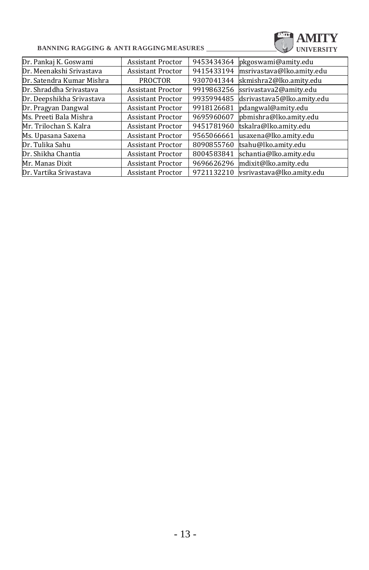#### **BANNING RAGGING & ANTI RAGGINGMEASURES**

| <b>BANNING RAGGING &amp; ANTI RAGGINGMEASURES</b> |                          |            | AMITY<br><b>UNIVERSITY</b> |
|---------------------------------------------------|--------------------------|------------|----------------------------|
| Dr. Pankaj K. Goswami                             | <b>Assistant Proctor</b> | 9453434364 | pkgoswami@amity.edu        |
| Dr. Meenakshi Srivastava                          | <b>Assistant Proctor</b> | 9415433194 | msrivastava@lko.amity.edu  |
| Dr. Satendra Kumar Mishra                         | <b>PROCTOR</b>           | 9307041344 | skmishra2@lko.amity.edu    |
| Dr. Shraddha Srivastava                           | <b>Assistant Proctor</b> | 9919863256 | ssrivastava2@amity.edu     |
| Dr. Deepshikha Srivastava                         | <b>Assistant Proctor</b> | 9935994485 | dsrivastava5@lko.amity.edu |
| Dr. Pragyan Dangwal                               | <b>Assistant Proctor</b> | 9918126681 | pdangwal@amity.edu         |
| Ms. Preeti Bala Mishra                            | <b>Assistant Proctor</b> | 9695960607 | pbmishra@lko.amity.edu     |
| Mr. Trilochan S. Kalra                            | <b>Assistant Proctor</b> | 9451781960 | tskalra@lko.amity.edu      |
| Ms. Upasana Saxena                                | <b>Assistant Proctor</b> | 9565066661 | usaxena@lko.amity.edu      |
| Dr. Tulika Sahu                                   | <b>Assistant Proctor</b> | 8090855760 | tsahu@lko.amity.edu        |
| Dr. Shikha Chantia                                | <b>Assistant Proctor</b> | 8004583841 | schantia@lko.amity.edu     |
| Mr. Manas Dixit                                   | <b>Assistant Proctor</b> | 9696626296 | mdixit@lko.amity.edu       |
| Dr. Vartika Srivastava                            | <b>Assistant Proctor</b> | 9721132210 | vsrivastava@lko.amity.edu  |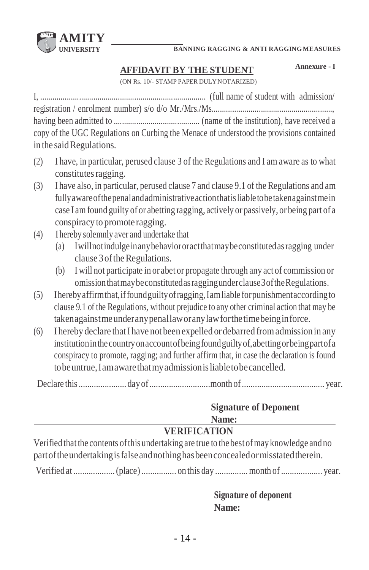

#### **AFFIDAVIT BY THE STUDENT**

**Annexure - I**

(ON Rs. 10/- STAMP PAPER DULYNOTARIZED)

I, ................................................................................. (full name of student with admission/ registration / enrolment number) s/o d/o Mr./Mrs./Ms..........................................................., having been admitted to .......................................... (name of the institution), have received a copy of the UGC Regulations on Curbing the Menace of understood the provisions contained in the said Regulations.

- (2) I have, in particular, perused clause 3 of the Regulations and I am aware as to what constitutes ragging.
- (3) I have also, in particular, perused clause 7 and clause 9.1 of the Regulations and am fullyawareofthepenalandadministrativeactionthatisliabletobetakenagainstmein case I am found guilty of or abetting ragging, actively or passively, or being part of a conspiracy to promote ragging.
- (4) I hereby solemnly aver and undertake that
	- (a) Iwillnotindulgeinanybehaviororactthatmaybeconstitutedasragging under clause 3 of the Regulations.
	- (b) I will not participate in or abet or propagate through any act of commission or omissionthatmaybeconstitutedasraggingunderclause3oftheRegulations.
- (5) Iherebyaffirmthat,iffoundguiltyofragging,Iamliable forpunishmentaccordingto clause 9.1 of the Regulations, without prejudice to any other criminal action that may be takenagainstmeunderanypenallaworanylawforthetimebeinginforce.
- (6) I hereby declare thatI have not been expelled or debarred fromadmissionin any institutioninthecountryonaccountofbeingfoundguiltyof,abettingorbeingpartofa conspiracy to promote, ragging; and further affirm that, in case the declaration is found tobeuntrue,Iamawarethatmyadmissionisliabletobecancelled.

|                                                                                                                                                                                      | <b>Signature of Deponent</b> |
|--------------------------------------------------------------------------------------------------------------------------------------------------------------------------------------|------------------------------|
|                                                                                                                                                                                      | Name:                        |
| <b>VERIFICATION</b>                                                                                                                                                                  |                              |
| Verified that the contents of this undertaking are true to the best of may knowledge and no<br>part of the undertaking is false and nothing has been concealed or misstated therein. |                              |
|                                                                                                                                                                                      |                              |

Verified at ...................(place) ................ on this day ............... month of................... year.

**Signature of deponent Name:**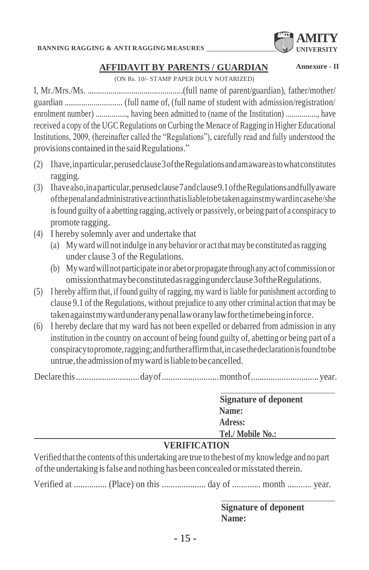

**Annexure - II**

#### **AFFIDAVIT BY PARENTS / GUARDIAN**

(ON Rs. 10/- STAMP PAPER DULY NOTARIZED)

I, Mr./Mrs./Ms. ..............................................(full name of parent/guardian), father/mother/ guardian ............................ (full name of, (full name of student with admission/registration/ enrolment number) ................, having been admitted to (name of the Institution) ..............., have received a copy of the UGC Regulations on Curbing the Menace of Ragging in Higher Educational Institutions, 2009, (hereinafter called the "Regulations"), carefully read and fully understood the provisions contained in the said Regulations."

- (2) Ihave,inparticular,perusedclause3oftheRegulationsandamawareastowhatconstitutes ragging.
- (3) Ihavealso,inaparticular,perusedclause7andclause9.1oftheRegulationsandfullyaware ofthepenalandadministrativeactionthatisliabletobetakenagainstmywardincasehe/she isfound guilty of a abetting ragging, actively or passively, or being part of a conspiracy to promote ragging.
- (4) I hereby solemnly aver and undertake that
	- (a) Myward will notindulge in any behavior or actthatmay be constituted asragging under clause 3 of the Regulations.
	- (b) Mywardwillnotparticipate inorabetorpropagate throughany actofcommission or omissionthatmaybeconstitutedasraggingunderclause3oftheRegulations.
- (5) I hereby affirm that, if found guilty of ragging, my ward is liable for punishment according to clause 9.1 of the Regulations, without prejudice to any other criminal action that may be takenagainstmywardunderanypenallaworanylawforthetimebeinginforce.
- (6) I hereby declare that my ward has not been expelled or debarred from admission in any institution in the country on account of being found guilty of, abetting or being part of a conspiracytopromote,ragging;andfurtheraffirmthat,incasethedeclarationisfoundtobe untrue, the admission of my ward is liable to be cancelled.

Declarethis.............................dayof..........................monthof...............................year.

| <b>Signature of deponent</b> |
|------------------------------|
| Name:                        |
| Adress:                      |
| Tel./ Mobile No.:            |
|                              |

#### **VERIFICATION**

Verified thatthe contents ofthis undertaking are true to the best ofmy knowledge and no part ofthe undertaking isfalse and nothing hasbeen concealed ormisstated therein.

Verified at ............... (Place) on this .................... day of ............. month ........... year.

**Signature of deponent Name:**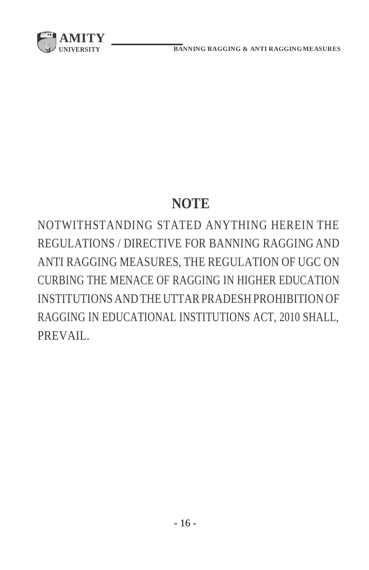

# **NOTE**

NOTWITHSTANDING STATED ANYTHING HEREIN THE REGULATIONS / DIRECTIVE FOR BANNING RAGGING AND ANTI RAGGING MEASURES, THE REGULATION OF UGC ON CURBING THE MENACE OF RAGGING IN HIGHER EDUCATION INSTITUTIONS AND THE UTTAR PRADESH PROHIBITION OF RAGGING IN EDUCATIONAL INSTITUTIONS ACT, 2010 SHALL, PREVAIL.